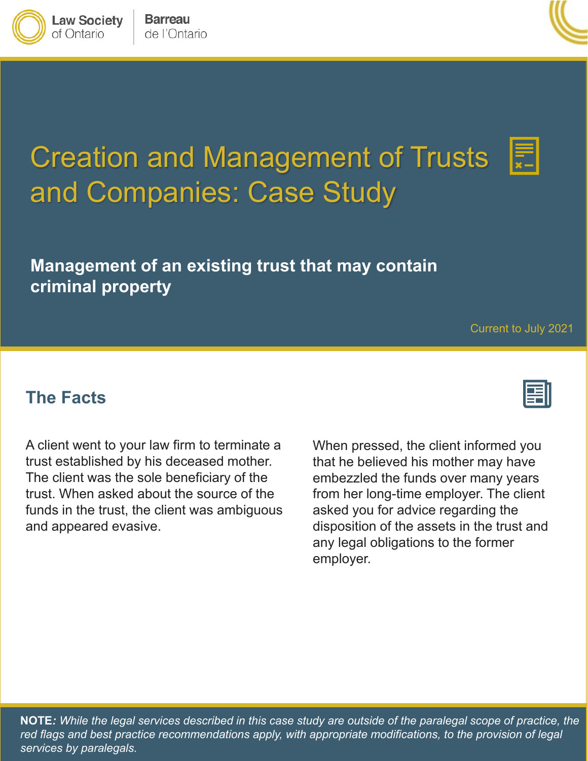**NOTE***: While the legal services described in this case study are outside of the paralegal scope of practice, the red flags and best practice recommendations apply, with appropriate modifications, to the provision of legal services by paralegals.*

Creation and Management of Trusts and Companies: Case Study

**Management of an existing trust that may contain criminal property**

**The Facts**

A client went to your law firm to terminate a trust established by his deceased mother. The client was the sole beneficiary of the trust. When asked about the source of the funds in the trust, the client was ambiguous and appeared evasive.

When pressed, the client informed you that he believed his mother may have embezzled the funds over many years from her long-time employer. The client asked you for advice regarding the disposition of the assets in the trust and any legal obligations to the former employer.

**Barreau** 

de l'Ontario

**Law Society** of Ontario







Current to July 2021

E